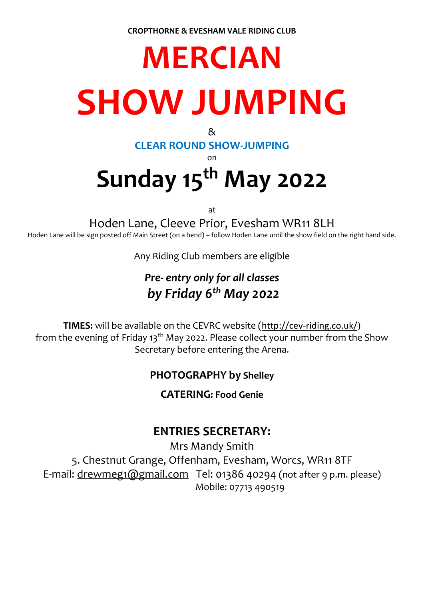# **MERCIAN SHOW JUMPING**

 $8<sub>k</sub>$ 

#### **CLEAR ROUND SHOW-JUMPING**

on

## **Sunday 15 th May 2022**

at

Hoden Lane, Cleeve Prior, Evesham WR11 8LH

Hoden Lane will be sign posted off Main Street (on a bend) – follow Hoden Lane until the show field on the right hand side.

Any Riding Club members are eligible

### *Pre- entry only for all classes by Friday 6 th May 2022*

**TIMES:** will be available on the CEVRC website (<http://cev-riding.co.uk/>) from the evening of Friday 13<sup>th</sup> May 2022. Please collect your number from the Show Secretary before entering the Arena.

#### **PHOTOGRAPHY by Shelley**

**CATERING: Food Genie**

#### **ENTRIES SECRETARY:**

Mrs Mandy Smith 5. Chestnut Grange, Offenham, Evesham, Worcs, WR11 8TF E-mail: [drewmeg1@gmail.com](mailto:drewmeg1@gmail.com) Tel: 01386 40294 (not after 9 p.m. please) Mobile: 07713 490519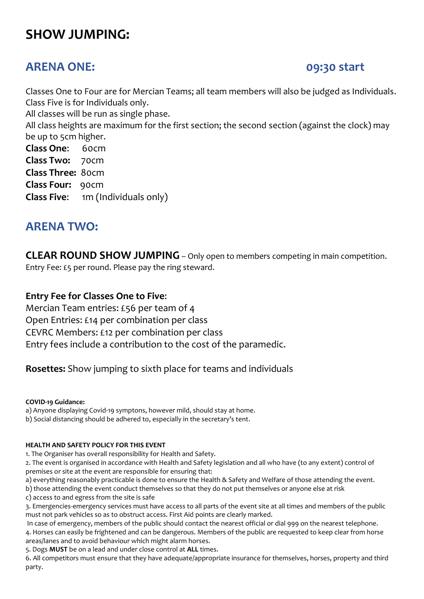### **SHOW JUMPING:**

#### **ARENA ONE: 09:30 start**

Classes One to Four are for Mercian Teams; all team members will also be judged as Individuals. Class Five is for Individuals only.

All classes will be run as single phase.

All class heights are maximum for the first section; the second section (against the clock) may be up to 5cm higher.

**Class One**: 60cm **Class Two:** 70cm **Class Three:** 80cm **Class Four:** 90cm **Class Five**: 1m (Individuals only)

#### **ARENA TWO:**

**CLEAR ROUND SHOW JUMPING** – Only open to members competing in main competition. Entry Fee: £5 per round. Please pay the ring steward.

#### **Entry Fee for Classes One to Five**:

Mercian Team entries: £56 per team of 4 Open Entries: £14 per combination per class CEVRC Members: £12 per combination per class Entry fees include a contribution to the cost of the paramedic.

#### **Rosettes:** Show jumping to sixth place for teams and individuals

#### **COVID-19 Guidance:**

a) Anyone displaying Covid-19 symptons, however mild, should stay at home.

b) Social distancing should be adhered to, especially in the secretary's tent.

#### **HEALTH AND SAFETY POLICY FOR THIS EVENT**

1. The Organiser has overall responsibility for Health and Safety.

2. The event is organised in accordance with Health and Safety legislation and all who have (to any extent) control of premises or site at the event are responsible for ensuring that:

a) everything reasonably practicable is done to ensure the Health & Safety and Welfare of those attending the event.

b) those attending the event conduct themselves so that they do not put themselves or anyone else at risk c) access to and egress from the site is safe

3. Emergencies-emergency services must have access to all parts of the event site at all times and members of the public must not park vehicles so as to obstruct access. First Aid points are clearly marked.

In case of emergency, members of the public should contact the nearest official or dial 999 on the nearest telephone. 4. Horses can easily be frightened and can be dangerous. Members of the public are requested to keep clear from horse areas/lanes and to avoid behaviour which might alarm horses.

5. Dogs **MUST** be on a lead and under close control at **ALL** times.

6. All competitors must ensure that they have adequate/appropriate insurance for themselves, horses, property and third party.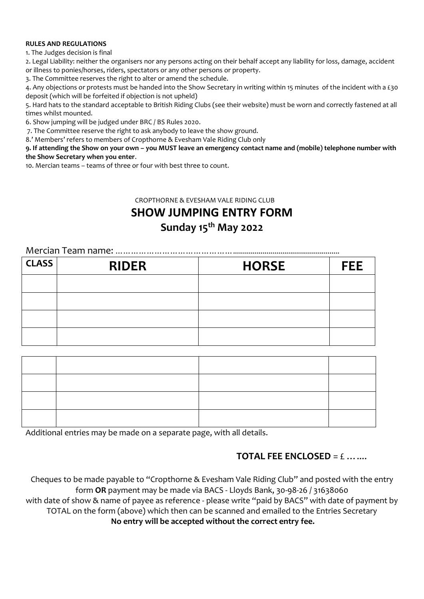#### **RULES AND REGULATIONS**

1. The Judges decision is final

2. Legal Liability: neither the organisers nor any persons acting on their behalf accept any liability for loss, damage, accident or illness to ponies/horses, riders, spectators or any other persons or property.

3. The Committee reserves the right to alter or amend the schedule.

4. Any objections or protests must be handed into the Show Secretary in writing within 15 minutes of the incident with a £30 deposit (which will be forfeited if objection is not upheld)

5. Hard hats to the standard acceptable to British Riding Clubs (see their website) must be worn and correctly fastened at all times whilst mounted.

6. Show jumping will be judged under BRC / BS Rules 2020.

7. The Committee reserve the right to ask anybody to leave the show ground.

8.' Members' refers to members of Cropthorne & Evesham Vale Riding Club only

**9. If attending the Show on your own – you MUST leave an emergency contact name and (mobile) telephone number with the Show Secretary when you enter**.

10. Mercian teams – teams of three or four with best three to count.

CROPTHORNE & EVESHAM VALE RIDING CLUB

**SHOW JUMPING ENTRY FORM**

#### **Sunday 15 th May 2022**

#### Mercian Team name: ………………………………………......................................................

| <b>CLASS</b> | <b>RIDER</b> | <b>HORSE</b> | <b>FEE</b> |
|--------------|--------------|--------------|------------|
|              |              |              |            |
|              |              |              |            |
|              |              |              |            |
|              |              |              |            |

Additional entries may be made on a separate page, with all details.

#### **TOTAL FFE ENCLOSED** =  $f$  …

Cheques to be made payable to "Cropthorne & Evesham Vale Riding Club" and posted with the entry form **OR** payment may be made via BACS - Lloyds Bank, 30-98-26 / 31638060 with date of show & name of payee as reference - please write "paid by BACS" with date of payment by TOTAL on the form (above) which then can be scanned and emailed to the Entries Secretary **No entry will be accepted without the correct entry fee.**